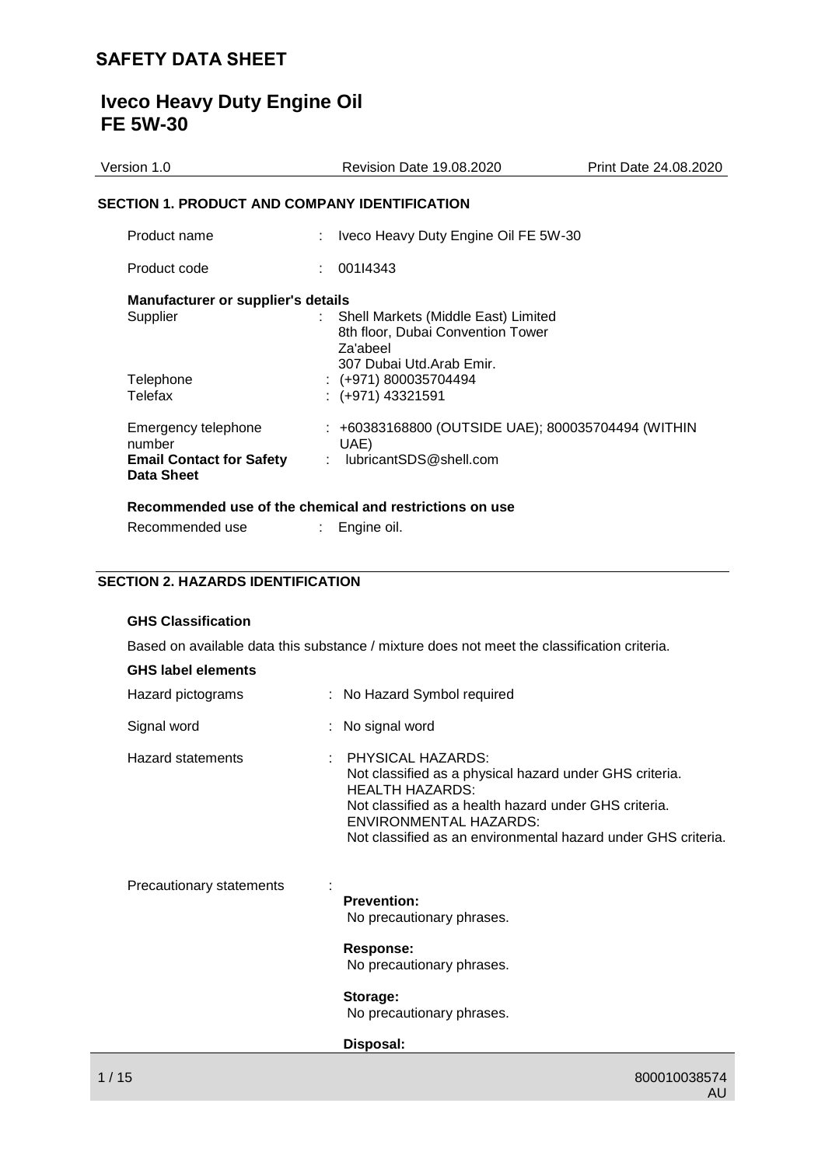# **Iveco Heavy Duty Engine Oil FE 5W-30**

| Version 1.0                                             | <b>Revision Date 19.08.2020</b>                                                                                  | Print Date 24.08.2020 |
|---------------------------------------------------------|------------------------------------------------------------------------------------------------------------------|-----------------------|
| <b>SECTION 1. PRODUCT AND COMPANY IDENTIFICATION</b>    |                                                                                                                  |                       |
| Product name                                            | Iveco Heavy Duty Engine Oil FE 5W-30                                                                             |                       |
| Product code                                            | 001I4343<br>t.                                                                                                   |                       |
| <b>Manufacturer or supplier's details</b>               |                                                                                                                  |                       |
| Supplier                                                | Shell Markets (Middle East) Limited<br>8th floor, Dubai Convention Tower<br>Za'abeel<br>307 Dubai Utd.Arab Emir. |                       |
| Telephone                                               | $\div$ (+971) 800035704494                                                                                       |                       |
| Telefax                                                 | $: (+971)$ 43321591                                                                                              |                       |
| Emergency telephone<br>number                           | : +60383168800 (OUTSIDE UAE); 800035704494 (WITHIN<br>UAE)                                                       |                       |
| <b>Email Contact for Safety</b><br>Data Sheet           | : lubricantSDS@shell.com                                                                                         |                       |
| Recommended use of the chemical and restrictions on use |                                                                                                                  |                       |
| Recommended use                                         | Engine oil.<br>t.                                                                                                |                       |

# **SECTION 2. HAZARDS IDENTIFICATION**

# **GHS Classification**

Based on available data this substance / mixture does not meet the classification criteria.

| Hazard pictograms        | : No Hazard Symbol required                                                                                                                                                                                                                                       |
|--------------------------|-------------------------------------------------------------------------------------------------------------------------------------------------------------------------------------------------------------------------------------------------------------------|
| Signal word              | : No signal word                                                                                                                                                                                                                                                  |
| Hazard statements        | <b>PHYSICAL HAZARDS:</b><br>Not classified as a physical hazard under GHS criteria.<br><b>HEALTH HAZARDS:</b><br>Not classified as a health hazard under GHS criteria.<br>ENVIRONMENTAL HAZARDS:<br>Not classified as an environmental hazard under GHS criteria. |
| Precautionary statements | <b>Prevention:</b><br>No precautionary phrases.                                                                                                                                                                                                                   |
|                          | <b>Response:</b><br>No precautionary phrases.                                                                                                                                                                                                                     |
|                          | Storage:<br>No precautionary phrases.                                                                                                                                                                                                                             |
|                          | Disposal:                                                                                                                                                                                                                                                         |
| 1/15                     | 800010038574                                                                                                                                                                                                                                                      |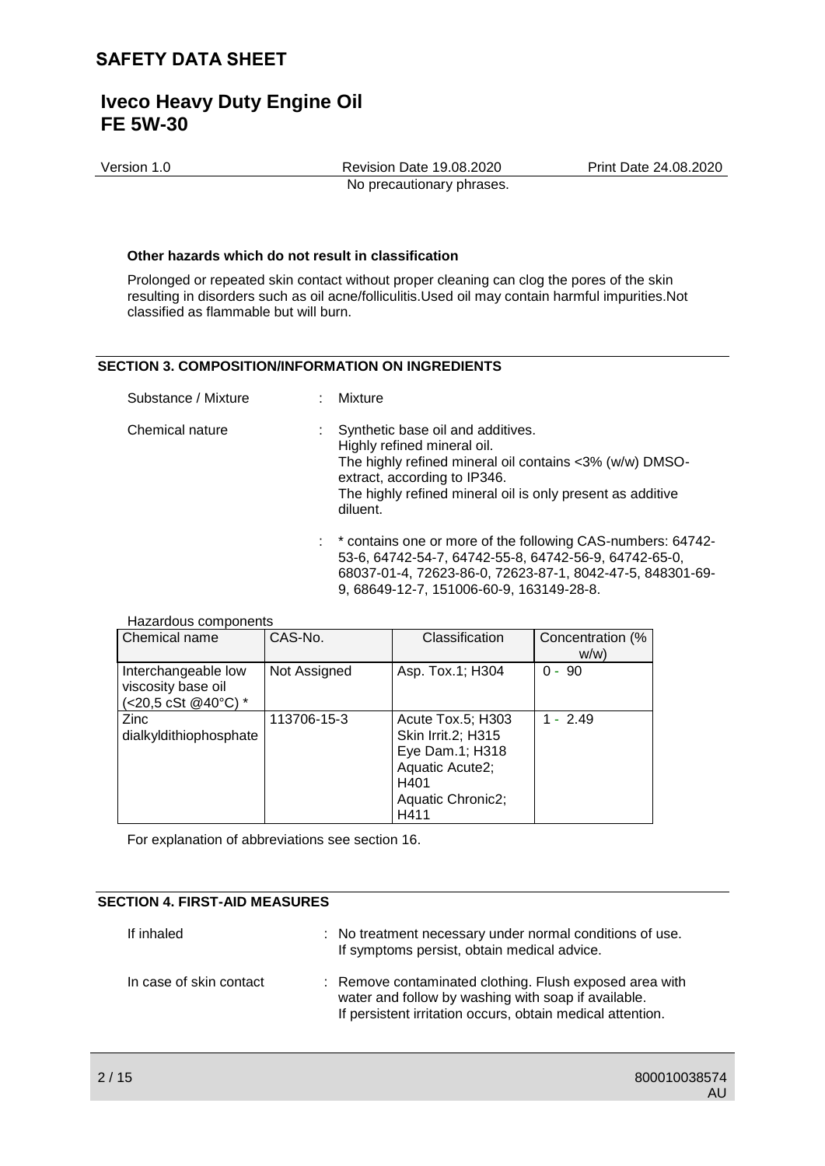# **Iveco Heavy Duty Engine Oil FE 5W-30**

Version 1.0 Revision Date 19.08.2020 Print Date 24.08.2020 No precautionary phrases.

### **Other hazards which do not result in classification**

Prolonged or repeated skin contact without proper cleaning can clog the pores of the skin resulting in disorders such as oil acne/folliculitis.Used oil may contain harmful impurities.Not classified as flammable but will burn.

# **SECTION 3. COMPOSITION/INFORMATION ON INGREDIENTS**

| Substance / Mixture | Mixture                                                                                                                                                                                                                               |
|---------------------|---------------------------------------------------------------------------------------------------------------------------------------------------------------------------------------------------------------------------------------|
| Chemical nature     | Synthetic base oil and additives.<br>Highly refined mineral oil.<br>The highly refined mineral oil contains <3% (w/w) DMSO-<br>extract, according to IP346.<br>The highly refined mineral oil is only present as additive<br>diluent. |
|                     | : * contains one or more of the following CAS-numbers: 64742-                                                                                                                                                                         |

53-6, 64742-54-7, 64742-55-8, 64742-56-9, 64742-65-0, 68037-01-4, 72623-86-0, 72623-87-1, 8042-47-5, 848301-69- 9, 68649-12-7, 151006-60-9, 163149-28-8.

Hazardous components

| Chemical name                                                    | CAS-No.      | Classification                                                                                                     | Concentration (%<br>W(W) |
|------------------------------------------------------------------|--------------|--------------------------------------------------------------------------------------------------------------------|--------------------------|
| Interchangeable low<br>viscosity base oil<br>(<20,5 cSt @40°C) * | Not Assigned | Asp. Tox.1; H304                                                                                                   | $0 - 90$                 |
| <b>Zinc</b><br>dialkyldithiophosphate                            | 113706-15-3  | Acute Tox.5; H303<br>Skin Irrit.2; H315<br>Eye Dam.1; H318<br>Aquatic Acute2;<br>H401<br>Aquatic Chronic2;<br>H411 | $1 - 2.49$               |

For explanation of abbreviations see section 16.

### **SECTION 4. FIRST-AID MEASURES**

| If inhaled              | : No treatment necessary under normal conditions of use.<br>If symptoms persist, obtain medical advice.                                                                      |
|-------------------------|------------------------------------------------------------------------------------------------------------------------------------------------------------------------------|
| In case of skin contact | : Remove contaminated clothing. Flush exposed area with<br>water and follow by washing with soap if available.<br>If persistent irritation occurs, obtain medical attention. |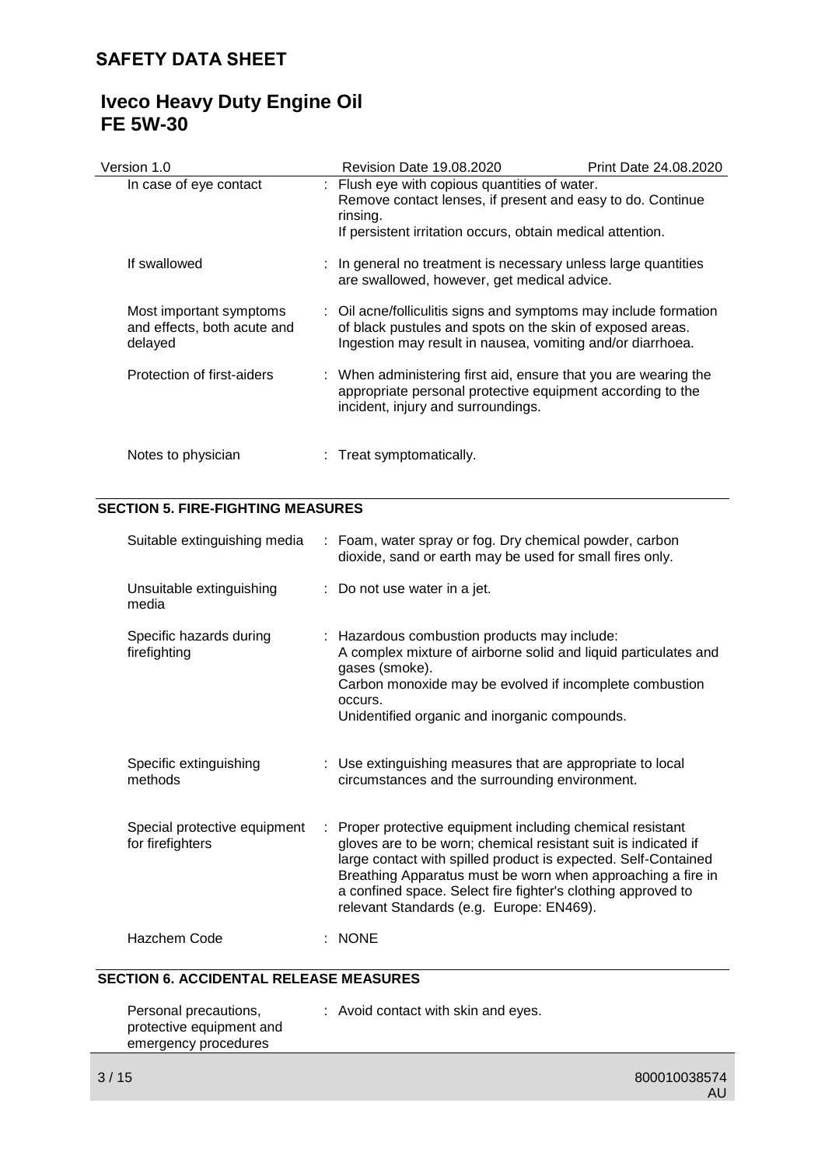# **Iveco Heavy Duty Engine Oil FE 5W-30**

| Version 1.0                                                       | Revision Date 19.08.2020                                                                                                                                                              | Print Date 24.08.2020                                                                                                                                                                       |
|-------------------------------------------------------------------|---------------------------------------------------------------------------------------------------------------------------------------------------------------------------------------|---------------------------------------------------------------------------------------------------------------------------------------------------------------------------------------------|
| In case of eye contact                                            | : Flush eye with copious quantities of water.<br>Remove contact lenses, if present and easy to do. Continue<br>rinsing.<br>If persistent irritation occurs, obtain medical attention. |                                                                                                                                                                                             |
| If swallowed                                                      | are swallowed, however, get medical advice.                                                                                                                                           | : In general no treatment is necessary unless large quantities                                                                                                                              |
| Most important symptoms<br>and effects, both acute and<br>delayed |                                                                                                                                                                                       | : Oil acne/folliculitis signs and symptoms may include formation<br>of black pustules and spots on the skin of exposed areas.<br>Ingestion may result in nausea, vomiting and/or diarrhoea. |
| Protection of first-aiders                                        | incident, injury and surroundings.                                                                                                                                                    | : When administering first aid, ensure that you are wearing the<br>appropriate personal protective equipment according to the                                                               |
| Notes to physician                                                | : Treat symptomatically.                                                                                                                                                              |                                                                                                                                                                                             |

# **SECTION 5. FIRE-FIGHTING MEASURES**

| Suitable extinguishing media                     | : Foam, water spray or fog. Dry chemical powder, carbon<br>dioxide, sand or earth may be used for small fires only.                                                                                                                                                                                                                                                     |
|--------------------------------------------------|-------------------------------------------------------------------------------------------------------------------------------------------------------------------------------------------------------------------------------------------------------------------------------------------------------------------------------------------------------------------------|
| Unsuitable extinguishing<br>media                | : Do not use water in a jet.                                                                                                                                                                                                                                                                                                                                            |
| Specific hazards during<br>firefighting          | : Hazardous combustion products may include:<br>A complex mixture of airborne solid and liquid particulates and<br>gases (smoke).<br>Carbon monoxide may be evolved if incomplete combustion<br>occurs.<br>Unidentified organic and inorganic compounds.                                                                                                                |
| Specific extinguishing<br>methods                | : Use extinguishing measures that are appropriate to local<br>circumstances and the surrounding environment.                                                                                                                                                                                                                                                            |
| Special protective equipment<br>for firefighters | Proper protective equipment including chemical resistant<br>gloves are to be worn; chemical resistant suit is indicated if<br>large contact with spilled product is expected. Self-Contained<br>Breathing Apparatus must be worn when approaching a fire in<br>a confined space. Select fire fighter's clothing approved to<br>relevant Standards (e.g. Europe: EN469). |
| Hazchem Code                                     | <b>NONE</b>                                                                                                                                                                                                                                                                                                                                                             |

# **SECTION 6. ACCIDENTAL RELEASE MEASURES**

| Personal precautions,    | : Avoid contact with skin and eyes. |
|--------------------------|-------------------------------------|
| protective equipment and |                                     |
| emergency procedures     |                                     |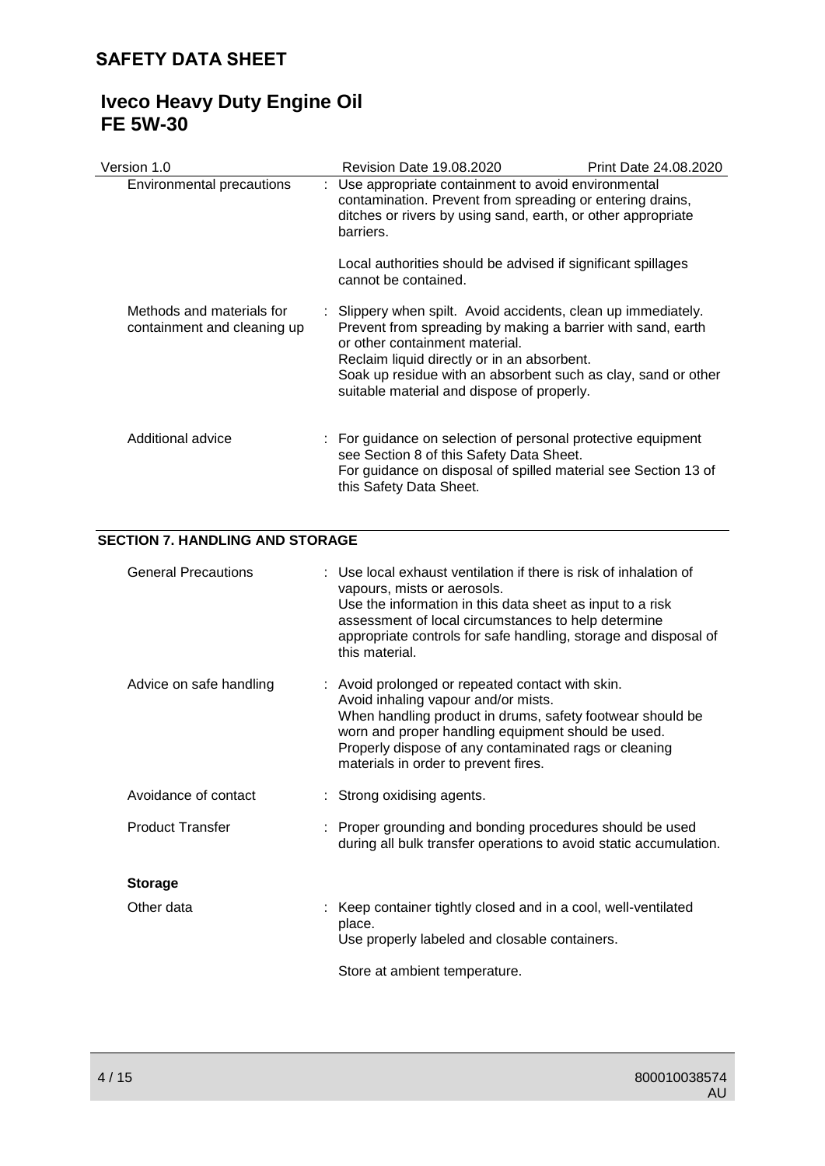# **Iveco Heavy Duty Engine Oil FE 5W-30**

| Version 1.0                                              | <b>Revision Date 19.08.2020</b>                                                                                                                                                                                                                                                                                              | Print Date 24.08.2020 |
|----------------------------------------------------------|------------------------------------------------------------------------------------------------------------------------------------------------------------------------------------------------------------------------------------------------------------------------------------------------------------------------------|-----------------------|
| Environmental precautions                                | : Use appropriate containment to avoid environmental<br>contamination. Prevent from spreading or entering drains,<br>ditches or rivers by using sand, earth, or other appropriate<br>barriers.                                                                                                                               |                       |
|                                                          | Local authorities should be advised if significant spillages<br>cannot be contained.                                                                                                                                                                                                                                         |                       |
| Methods and materials for<br>containment and cleaning up | : Slippery when spilt. Avoid accidents, clean up immediately.<br>Prevent from spreading by making a barrier with sand, earth<br>or other containment material.<br>Reclaim liquid directly or in an absorbent.<br>Soak up residue with an absorbent such as clay, sand or other<br>suitable material and dispose of properly. |                       |
| Additional advice                                        | : For guidance on selection of personal protective equipment<br>see Section 8 of this Safety Data Sheet.<br>For guidance on disposal of spilled material see Section 13 of<br>this Safety Data Sheet.                                                                                                                        |                       |

# **SECTION 7. HANDLING AND STORAGE**

| <b>General Precautions</b> | : Use local exhaust ventilation if there is risk of inhalation of<br>vapours, mists or aerosols.<br>Use the information in this data sheet as input to a risk<br>assessment of local circumstances to help determine<br>appropriate controls for safe handling, storage and disposal of<br>this material.   |
|----------------------------|-------------------------------------------------------------------------------------------------------------------------------------------------------------------------------------------------------------------------------------------------------------------------------------------------------------|
| Advice on safe handling    | : Avoid prolonged or repeated contact with skin.<br>Avoid inhaling vapour and/or mists.<br>When handling product in drums, safety footwear should be<br>worn and proper handling equipment should be used.<br>Properly dispose of any contaminated rags or cleaning<br>materials in order to prevent fires. |
| Avoidance of contact       | : Strong oxidising agents.                                                                                                                                                                                                                                                                                  |
| <b>Product Transfer</b>    | : Proper grounding and bonding procedures should be used<br>during all bulk transfer operations to avoid static accumulation.                                                                                                                                                                               |
| <b>Storage</b>             |                                                                                                                                                                                                                                                                                                             |
| Other data                 | : Keep container tightly closed and in a cool, well-ventilated<br>place.<br>Use properly labeled and closable containers.<br>Store at ambient temperature.                                                                                                                                                  |
|                            |                                                                                                                                                                                                                                                                                                             |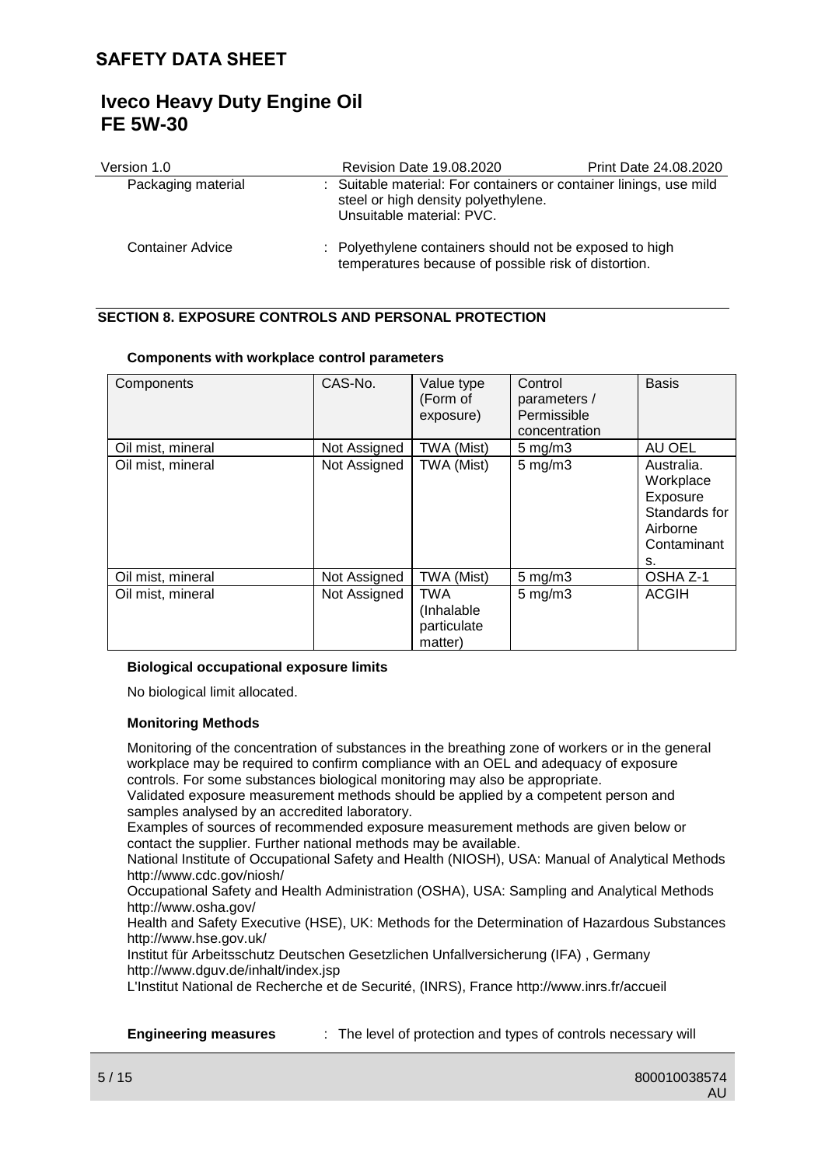# **Iveco Heavy Duty Engine Oil FE 5W-30**

| Version 1.0             | <b>Revision Date 19.08.2020</b>                                                                                                        | Print Date 24.08.2020 |
|-------------------------|----------------------------------------------------------------------------------------------------------------------------------------|-----------------------|
| Packaging material      | : Suitable material: For containers or container linings, use mild<br>steel or high density polyethylene.<br>Unsuitable material: PVC. |                       |
| <b>Container Advice</b> | : Polyethylene containers should not be exposed to high<br>temperatures because of possible risk of distortion.                        |                       |

# **SECTION 8. EXPOSURE CONTROLS AND PERSONAL PROTECTION**

| Components        | CAS-No.      | Value type<br>(Form of<br>exposure)                | Control<br>parameters /<br>Permissible<br>concentration | <b>Basis</b>                                                                          |
|-------------------|--------------|----------------------------------------------------|---------------------------------------------------------|---------------------------------------------------------------------------------------|
| Oil mist, mineral | Not Assigned | TWA (Mist)                                         | $5$ mg/m $3$                                            | AU OEL                                                                                |
| Oil mist, mineral | Not Assigned | TWA (Mist)                                         | $5$ mg/m $3$                                            | Australia.<br>Workplace<br>Exposure<br>Standards for<br>Airborne<br>Contaminant<br>s. |
| Oil mist, mineral | Not Assigned | TWA (Mist)                                         | $5$ mg/m $3$                                            | OSHA Z-1                                                                              |
| Oil mist, mineral | Not Assigned | <b>TWA</b><br>(Inhalable<br>particulate<br>matter) | $5$ mg/m $3$                                            | <b>ACGIH</b>                                                                          |

# **Components with workplace control parameters**

# **Biological occupational exposure limits**

No biological limit allocated.

# **Monitoring Methods**

Monitoring of the concentration of substances in the breathing zone of workers or in the general workplace may be required to confirm compliance with an OEL and adequacy of exposure controls. For some substances biological monitoring may also be appropriate.

Validated exposure measurement methods should be applied by a competent person and samples analysed by an accredited laboratory.

Examples of sources of recommended exposure measurement methods are given below or contact the supplier. Further national methods may be available.

National Institute of Occupational Safety and Health (NIOSH), USA: Manual of Analytical Methods http://www.cdc.gov/niosh/

Occupational Safety and Health Administration (OSHA), USA: Sampling and Analytical Methods http://www.osha.gov/

Health and Safety Executive (HSE), UK: Methods for the Determination of Hazardous Substances http://www.hse.gov.uk/

Institut für Arbeitsschutz Deutschen Gesetzlichen Unfallversicherung (IFA) , Germany http://www.dguv.de/inhalt/index.jsp

L'Institut National de Recherche et de Securité, (INRS), France http://www.inrs.fr/accueil

**Engineering measures** : The level of protection and types of controls necessary will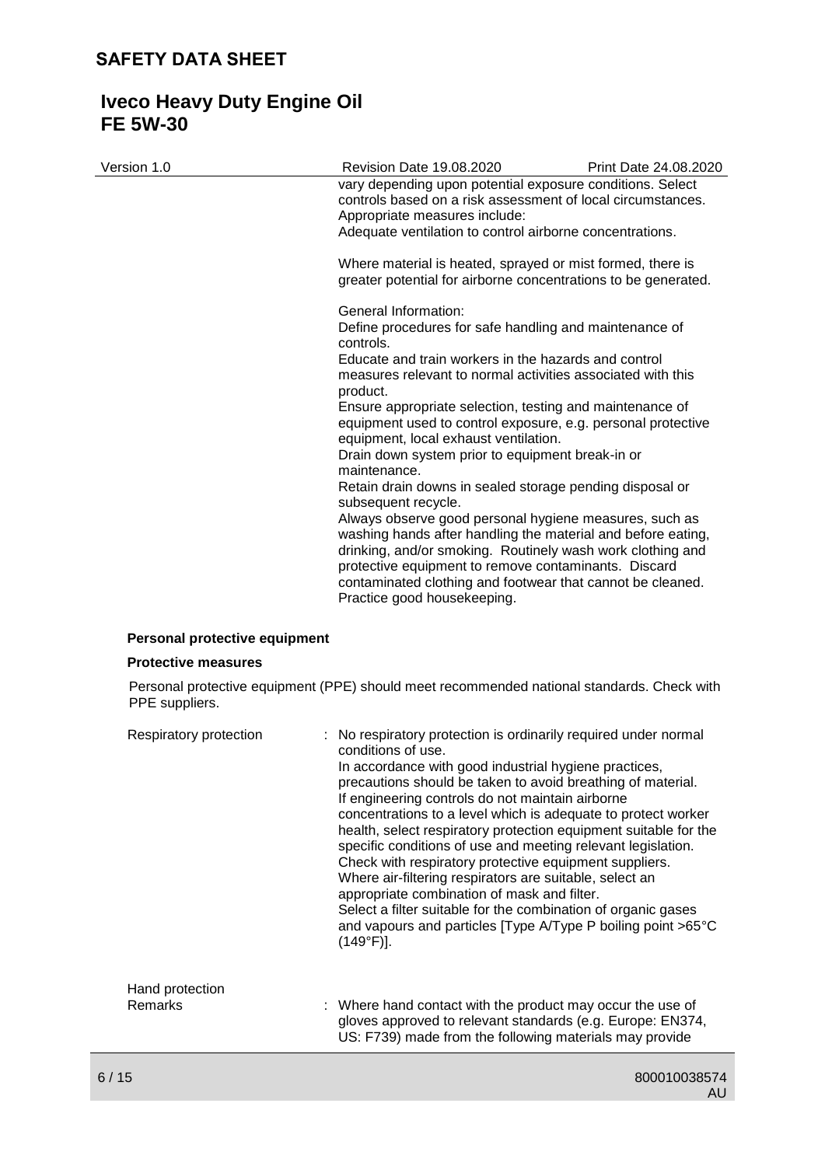# **Iveco Heavy Duty Engine Oil FE 5W-30**

| Version 1.0                   | <b>Revision Date 19.08.2020</b>                                                                                                                                                                                                                                                                            | Print Date 24.08.2020 |
|-------------------------------|------------------------------------------------------------------------------------------------------------------------------------------------------------------------------------------------------------------------------------------------------------------------------------------------------------|-----------------------|
|                               | vary depending upon potential exposure conditions. Select<br>controls based on a risk assessment of local circumstances.<br>Appropriate measures include:                                                                                                                                                  |                       |
|                               | Adequate ventilation to control airborne concentrations.                                                                                                                                                                                                                                                   |                       |
|                               | Where material is heated, sprayed or mist formed, there is<br>greater potential for airborne concentrations to be generated.                                                                                                                                                                               |                       |
|                               | General Information:                                                                                                                                                                                                                                                                                       |                       |
|                               | Define procedures for safe handling and maintenance of<br>controls.                                                                                                                                                                                                                                        |                       |
|                               | Educate and train workers in the hazards and control                                                                                                                                                                                                                                                       |                       |
|                               | measures relevant to normal activities associated with this<br>product.                                                                                                                                                                                                                                    |                       |
|                               | Ensure appropriate selection, testing and maintenance of                                                                                                                                                                                                                                                   |                       |
|                               | equipment used to control exposure, e.g. personal protective<br>equipment, local exhaust ventilation.                                                                                                                                                                                                      |                       |
|                               | Drain down system prior to equipment break-in or                                                                                                                                                                                                                                                           |                       |
|                               | maintenance.                                                                                                                                                                                                                                                                                               |                       |
|                               | Retain drain downs in sealed storage pending disposal or<br>subsequent recycle.                                                                                                                                                                                                                            |                       |
|                               | Always observe good personal hygiene measures, such as<br>washing hands after handling the material and before eating,<br>drinking, and/or smoking. Routinely wash work clothing and<br>protective equipment to remove contaminants. Discard<br>contaminated clothing and footwear that cannot be cleaned. |                       |
|                               | Practice good housekeeping.                                                                                                                                                                                                                                                                                |                       |
| Personal protective equipment |                                                                                                                                                                                                                                                                                                            |                       |
| <b>Protective measures</b>    |                                                                                                                                                                                                                                                                                                            |                       |
|                               | Personal protective equipment (PPE) should meet recommended national standards. Check with                                                                                                                                                                                                                 |                       |

| Respiratory protection | : No respiratory protection is ordinarily required under normal<br>conditions of use.<br>In accordance with good industrial hygiene practices,<br>precautions should be taken to avoid breathing of material.<br>If engineering controls do not maintain airborne<br>concentrations to a level which is adequate to protect worker<br>health, select respiratory protection equipment suitable for the<br>specific conditions of use and meeting relevant legislation.<br>Check with respiratory protective equipment suppliers.<br>Where air-filtering respirators are suitable, select an<br>appropriate combination of mask and filter.<br>Select a filter suitable for the combination of organic gases<br>and vapours and particles [Type A/Type P boiling point >65°C<br>$(149°F)$ ]. |
|------------------------|---------------------------------------------------------------------------------------------------------------------------------------------------------------------------------------------------------------------------------------------------------------------------------------------------------------------------------------------------------------------------------------------------------------------------------------------------------------------------------------------------------------------------------------------------------------------------------------------------------------------------------------------------------------------------------------------------------------------------------------------------------------------------------------------|
| Hand protection        |                                                                                                                                                                                                                                                                                                                                                                                                                                                                                                                                                                                                                                                                                                                                                                                             |
| Remarks                | : Where hand contact with the product may occur the use of<br>gloves approved to relevant standards (e.g. Europe: EN374,<br>US: F739) made from the following materials may provide                                                                                                                                                                                                                                                                                                                                                                                                                                                                                                                                                                                                         |

6 / 15 800010038574 AU

PPE suppliers.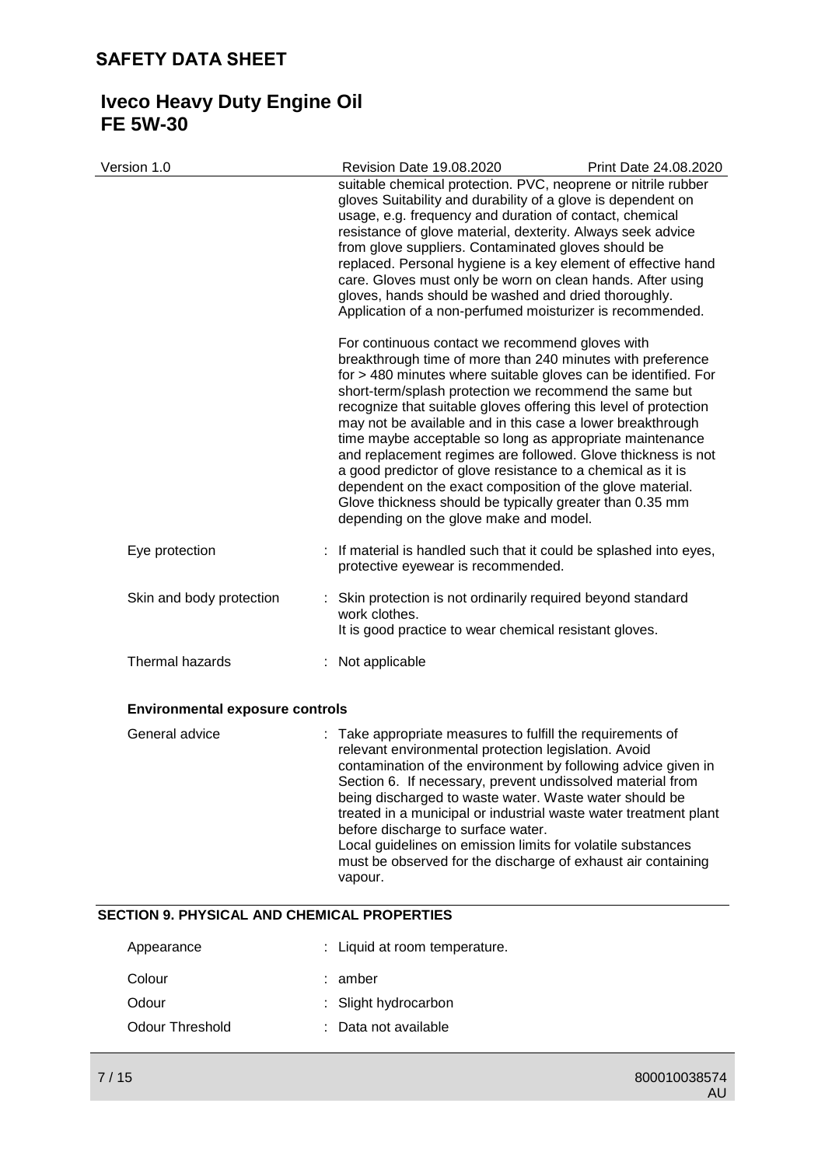# **Iveco Heavy Duty Engine Oil FE 5W-30**

| Version 1.0                                 | <b>Revision Date 19.08.2020</b><br>suitable chemical protection. PVC, neoprene or nitrile rubber<br>gloves Suitability and durability of a glove is dependent on<br>usage, e.g. frequency and duration of contact, chemical<br>resistance of glove material, dexterity. Always seek advice<br>from glove suppliers. Contaminated gloves should be<br>replaced. Personal hygiene is a key element of effective hand<br>care. Gloves must only be worn on clean hands. After using<br>gloves, hands should be washed and dried thoroughly.<br>Application of a non-perfumed moisturizer is recommended.<br>For continuous contact we recommend gloves with<br>breakthrough time of more than 240 minutes with preference<br>for > 480 minutes where suitable gloves can be identified. For<br>short-term/splash protection we recommend the same but<br>recognize that suitable gloves offering this level of protection<br>may not be available and in this case a lower breakthrough<br>time maybe acceptable so long as appropriate maintenance<br>and replacement regimes are followed. Glove thickness is not<br>a good predictor of glove resistance to a chemical as it is<br>dependent on the exact composition of the glove material.<br>Glove thickness should be typically greater than 0.35 mm<br>depending on the glove make and model. | Print Date 24.08.2020 |
|---------------------------------------------|----------------------------------------------------------------------------------------------------------------------------------------------------------------------------------------------------------------------------------------------------------------------------------------------------------------------------------------------------------------------------------------------------------------------------------------------------------------------------------------------------------------------------------------------------------------------------------------------------------------------------------------------------------------------------------------------------------------------------------------------------------------------------------------------------------------------------------------------------------------------------------------------------------------------------------------------------------------------------------------------------------------------------------------------------------------------------------------------------------------------------------------------------------------------------------------------------------------------------------------------------------------------------------------------------------------------------------------------------|-----------------------|
| Eye protection                              | : If material is handled such that it could be splashed into eyes,<br>protective eyewear is recommended.                                                                                                                                                                                                                                                                                                                                                                                                                                                                                                                                                                                                                                                                                                                                                                                                                                                                                                                                                                                                                                                                                                                                                                                                                                           |                       |
| Skin and body protection                    | Skin protection is not ordinarily required beyond standard<br>work clothes.<br>It is good practice to wear chemical resistant gloves.                                                                                                                                                                                                                                                                                                                                                                                                                                                                                                                                                                                                                                                                                                                                                                                                                                                                                                                                                                                                                                                                                                                                                                                                              |                       |
| Thermal hazards                             | : Not applicable                                                                                                                                                                                                                                                                                                                                                                                                                                                                                                                                                                                                                                                                                                                                                                                                                                                                                                                                                                                                                                                                                                                                                                                                                                                                                                                                   |                       |
| <b>Environmental exposure controls</b>      |                                                                                                                                                                                                                                                                                                                                                                                                                                                                                                                                                                                                                                                                                                                                                                                                                                                                                                                                                                                                                                                                                                                                                                                                                                                                                                                                                    |                       |
| General advice                              | : Take appropriate measures to fulfill the requirements of<br>relevant environmental protection legislation. Avoid<br>contamination of the environment by following advice given in<br>Section 6. If necessary, prevent undissolved material from<br>being discharged to waste water. Waste water should be<br>treated in a municipal or industrial waste water treatment plant<br>before discharge to surface water.<br>Local guidelines on emission limits for volatile substances<br>must be observed for the discharge of exhaust air containing<br>vapour.                                                                                                                                                                                                                                                                                                                                                                                                                                                                                                                                                                                                                                                                                                                                                                                    |                       |
| SECTION 9. PHYSICAL AND CHEMICAL PROPERTIES |                                                                                                                                                                                                                                                                                                                                                                                                                                                                                                                                                                                                                                                                                                                                                                                                                                                                                                                                                                                                                                                                                                                                                                                                                                                                                                                                                    |                       |
| Appearance                                  | Liquid at room temperature.                                                                                                                                                                                                                                                                                                                                                                                                                                                                                                                                                                                                                                                                                                                                                                                                                                                                                                                                                                                                                                                                                                                                                                                                                                                                                                                        |                       |
| Colour                                      | : amber                                                                                                                                                                                                                                                                                                                                                                                                                                                                                                                                                                                                                                                                                                                                                                                                                                                                                                                                                                                                                                                                                                                                                                                                                                                                                                                                            |                       |
| Odour                                       | Slight hydrocarbon                                                                                                                                                                                                                                                                                                                                                                                                                                                                                                                                                                                                                                                                                                                                                                                                                                                                                                                                                                                                                                                                                                                                                                                                                                                                                                                                 |                       |
| <b>Odour Threshold</b>                      | Data not available                                                                                                                                                                                                                                                                                                                                                                                                                                                                                                                                                                                                                                                                                                                                                                                                                                                                                                                                                                                                                                                                                                                                                                                                                                                                                                                                 |                       |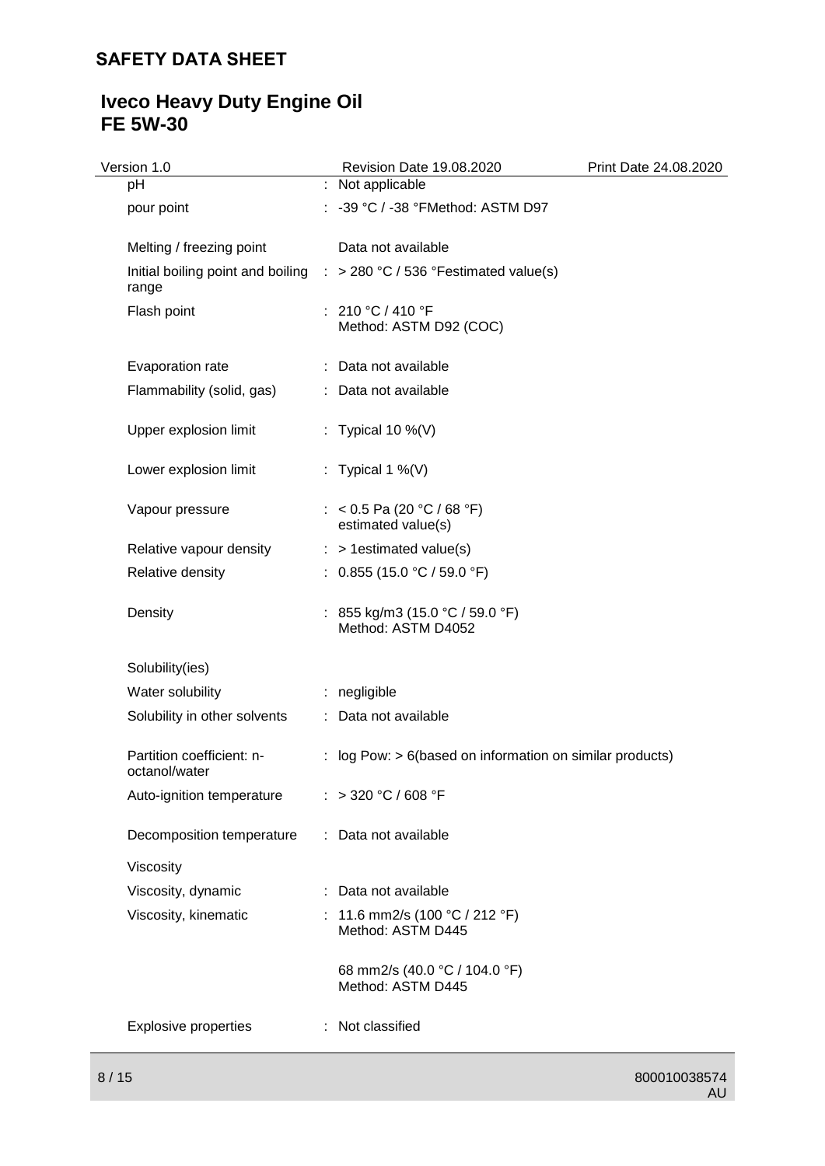# **Iveco Heavy Duty Engine Oil FE 5W-30**

| Version 1.0                                | Revision Date 19.08.2020                                                           | Print Date 24.08.2020 |
|--------------------------------------------|------------------------------------------------------------------------------------|-----------------------|
| pH                                         | : Not applicable                                                                   |                       |
| pour point                                 | : -39 °C / -38 °FMethod: ASTM D97                                                  |                       |
| Melting / freezing point                   | Data not available                                                                 |                       |
| range                                      | Initial boiling point and boiling $\therefore$ > 280 °C / 536 °Festimated value(s) |                       |
| Flash point                                | : 210 °C / 410 °F<br>Method: ASTM D92 (COC)                                        |                       |
| Evaporation rate                           | : Data not available                                                               |                       |
| Flammability (solid, gas)                  | : Data not available                                                               |                       |
| Upper explosion limit                      | : Typical 10 %(V)                                                                  |                       |
| Lower explosion limit                      | : Typical 1 %(V)                                                                   |                       |
| Vapour pressure                            | : < 0.5 Pa (20 °C / 68 °F)<br>estimated value(s)                                   |                       |
| Relative vapour density                    | $:$ > 1 estimated value(s)                                                         |                       |
| Relative density                           | : $0.855(15.0 °C / 59.0 °F)$                                                       |                       |
| Density                                    | : 855 kg/m3 (15.0 °C / 59.0 °F)<br>Method: ASTM D4052                              |                       |
| Solubility(ies)                            |                                                                                    |                       |
| Water solubility                           | : negligible                                                                       |                       |
| Solubility in other solvents               | : Data not available                                                               |                       |
| Partition coefficient: n-<br>octanol/water | : log Pow: $> 6$ (based on information on similar products)                        |                       |
| Auto-ignition temperature                  | : > 320 °C / 608 °F                                                                |                       |
| Decomposition temperature                  | : Data not available                                                               |                       |
| Viscosity                                  |                                                                                    |                       |
| Viscosity, dynamic                         | : Data not available                                                               |                       |
| Viscosity, kinematic                       | : 11.6 mm2/s (100 °C / 212 °F)<br>Method: ASTM D445                                |                       |
|                                            | 68 mm2/s (40.0 °C / 104.0 °F)<br>Method: ASTM D445                                 |                       |
| <b>Explosive properties</b>                | : Not classified                                                                   |                       |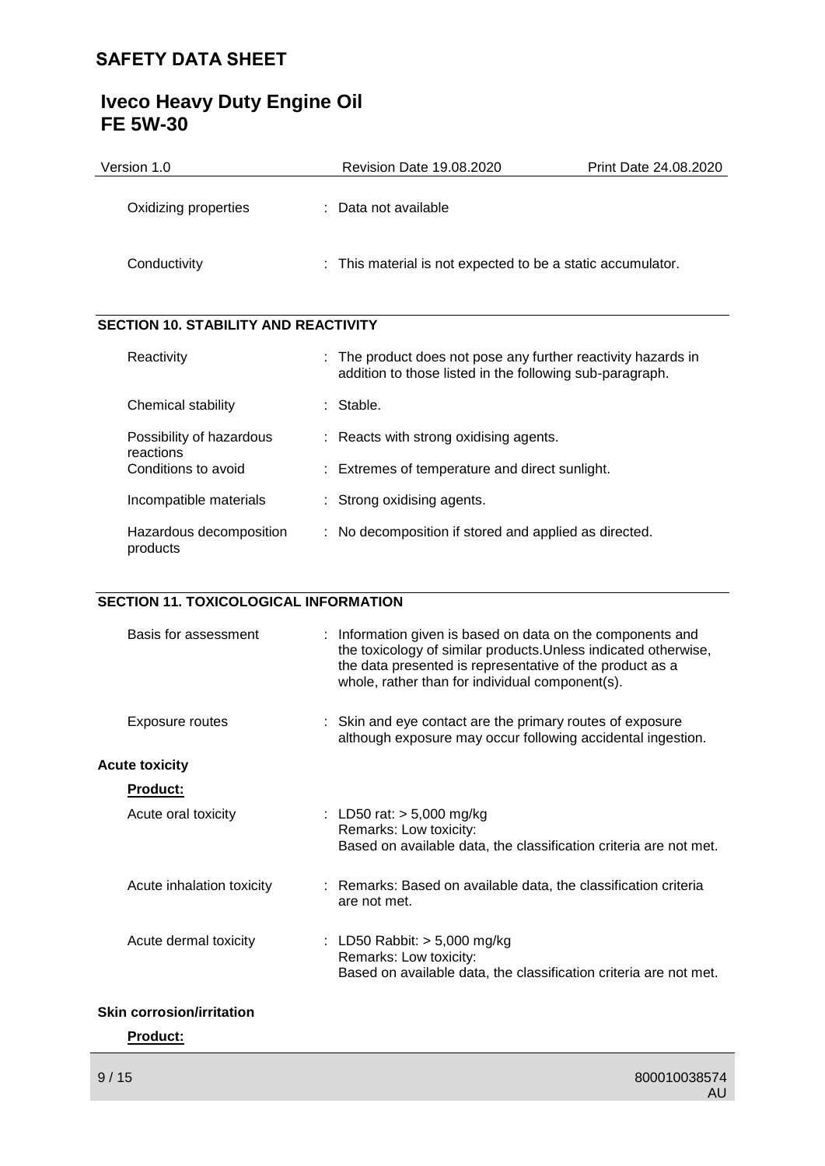| Version 1.0                                  | <b>Revision Date 19.08.2020</b>                                                                                           | <b>Print Date 24.08.2020</b> |
|----------------------------------------------|---------------------------------------------------------------------------------------------------------------------------|------------------------------|
| Oxidizing properties                         | : Data not available                                                                                                      |                              |
| Conductivity                                 | This material is not expected to be a static accumulator.                                                                 |                              |
| <b>SECTION 10. STABILITY AND REACTIVITY</b>  |                                                                                                                           |                              |
| Reactivity                                   | : The product does not pose any further reactivity hazards in<br>addition to those listed in the following sub-paragraph. |                              |
| Chemical stability                           | : Stable.                                                                                                                 |                              |
| Possibility of hazardous<br>reactions        | Reacts with strong oxidising agents.                                                                                      |                              |
| Conditions to avoid                          | Extremes of temperature and direct sunlight.                                                                              |                              |
| Incompatible materials                       | Strong oxidising agents.                                                                                                  |                              |
| Hazardous decomposition<br>products          | : No decomposition if stored and applied as directed.                                                                     |                              |
|                                              |                                                                                                                           |                              |
| <b>SECTION 11. TOXICOLOGICAL INFORMATION</b> |                                                                                                                           |                              |

# **Iveco Heavy Duty Engine Oil FE 5W-30**

| Basis for assessment             | : Information given is based on data on the components and<br>the toxicology of similar products. Unless indicated otherwise,<br>the data presented is representative of the product as a<br>whole, rather than for individual component(s). |
|----------------------------------|----------------------------------------------------------------------------------------------------------------------------------------------------------------------------------------------------------------------------------------------|
| Exposure routes                  | : Skin and eye contact are the primary routes of exposure<br>although exposure may occur following accidental ingestion.                                                                                                                     |
| <b>Acute toxicity</b>            |                                                                                                                                                                                                                                              |
| <b>Product:</b>                  |                                                                                                                                                                                                                                              |
| Acute oral toxicity              | : LD50 rat: $> 5,000$ mg/kg<br>Remarks: Low toxicity:<br>Based on available data, the classification criteria are not met.                                                                                                                   |
| Acute inhalation toxicity        | : Remarks: Based on available data, the classification criteria<br>are not met.                                                                                                                                                              |
| Acute dermal toxicity            | : LD50 Rabbit: $> 5,000$ mg/kg<br>Remarks: Low toxicity:<br>Based on available data, the classification criteria are not met.                                                                                                                |
| <b>Skin corrosion/irritation</b> |                                                                                                                                                                                                                                              |

# **Product:**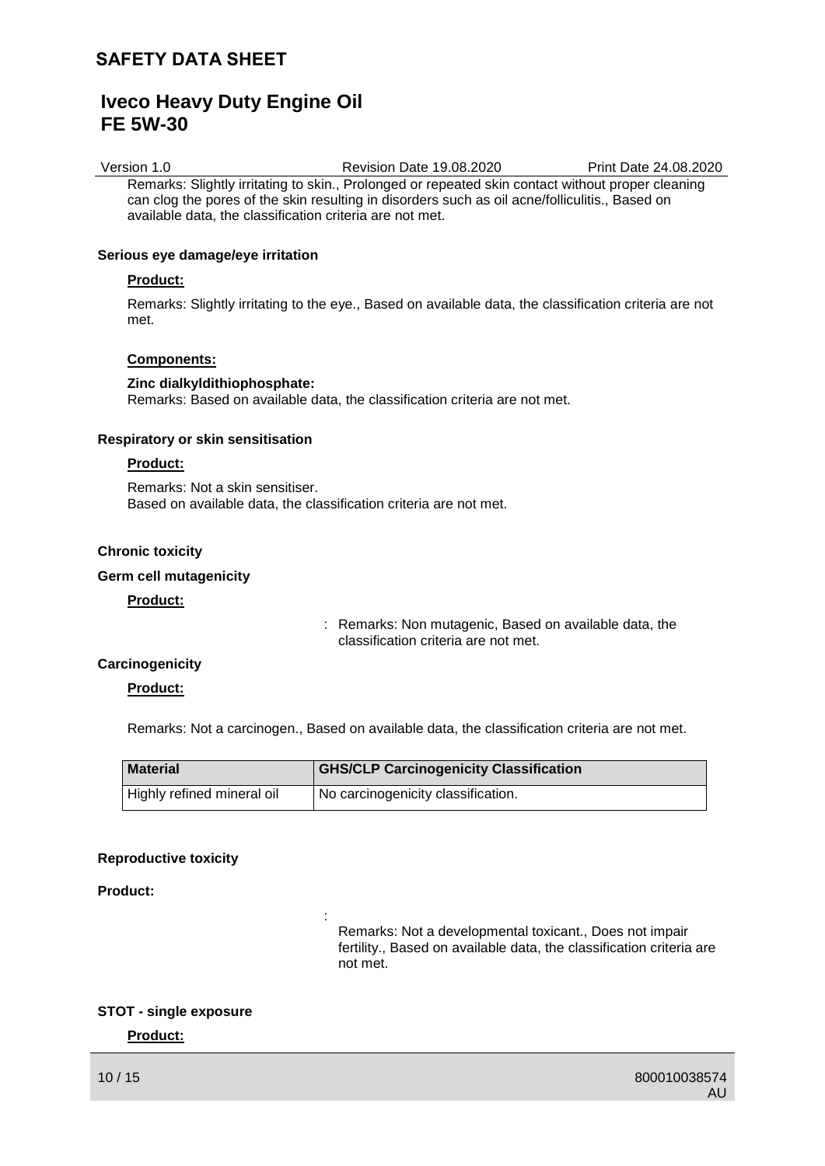# **Iveco Heavy Duty Engine Oil FE 5W-30**

Version 1.0 Revision Date 19.08.2020 Print Date 24.08.2020 Remarks: Slightly irritating to skin., Prolonged or repeated skin contact without proper cleaning can clog the pores of the skin resulting in disorders such as oil acne/folliculitis., Based on available data, the classification criteria are not met.

### **Serious eye damage/eye irritation**

### **Product:**

Remarks: Slightly irritating to the eye., Based on available data, the classification criteria are not met.

### **Components:**

#### **Zinc dialkyldithiophosphate:**

Remarks: Based on available data, the classification criteria are not met.

#### **Respiratory or skin sensitisation**

### **Product:**

Remarks: Not a skin sensitiser. Based on available data, the classification criteria are not met.

:

# **Chronic toxicity**

### **Germ cell mutagenicity**

# **Product:**

: Remarks: Non mutagenic, Based on available data, the classification criteria are not met.

### **Carcinogenicity**

### **Product:**

Remarks: Not a carcinogen., Based on available data, the classification criteria are not met.

| <b>Material</b>            | <b>GHS/CLP Carcinogenicity Classification</b> |
|----------------------------|-----------------------------------------------|
| Highly refined mineral oil | I No carcinogenicity classification.          |

#### **Reproductive toxicity**

# **Product:**

Remarks: Not a developmental toxicant., Does not impair fertility., Based on available data, the classification criteria are not met.

# **STOT - single exposure**

### **Product:**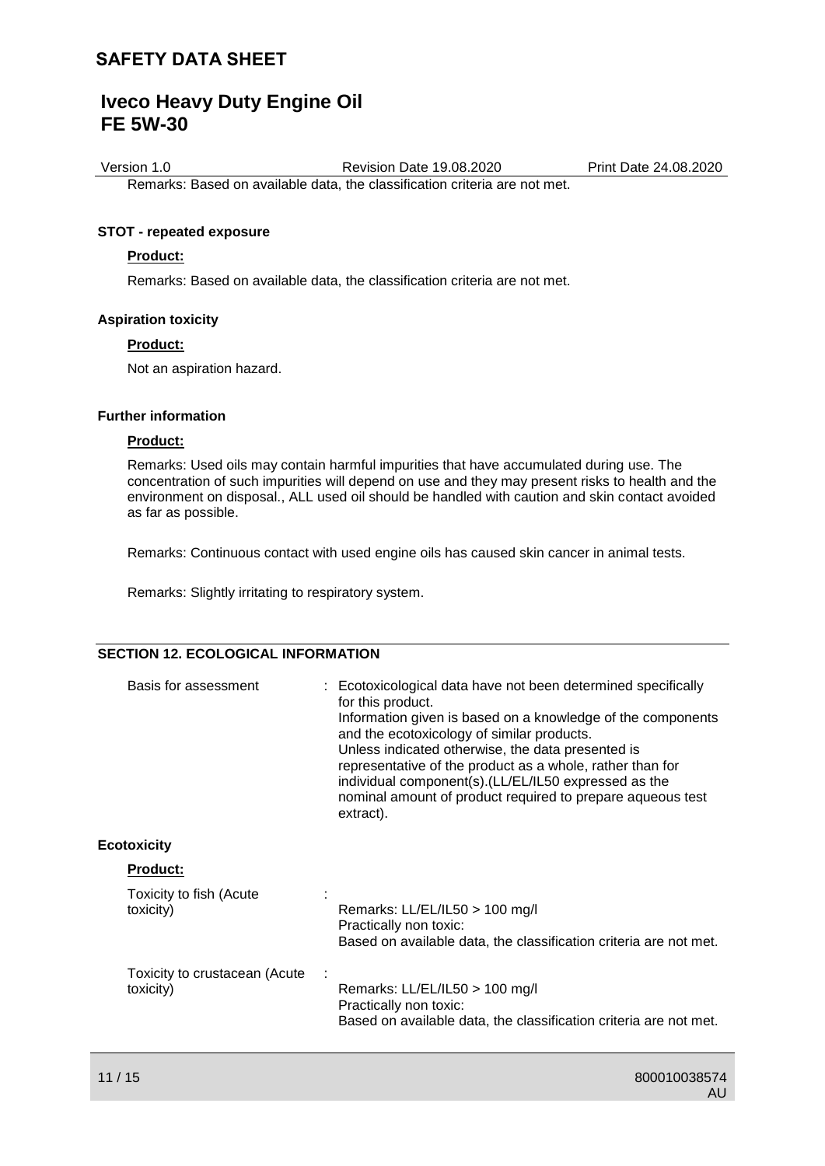# **Iveco Heavy Duty Engine Oil FE 5W-30**

Version 1.0 Revision Date 19.08.2020 Print Date 24.08.2020 Remarks: Based on available data, the classification criteria are not met.

### **STOT - repeated exposure**

### **Product:**

Remarks: Based on available data, the classification criteria are not met.

#### **Aspiration toxicity**

### **Product:**

Not an aspiration hazard.

### **Further information**

### **Product:**

Remarks: Used oils may contain harmful impurities that have accumulated during use. The concentration of such impurities will depend on use and they may present risks to health and the environment on disposal., ALL used oil should be handled with caution and skin contact avoided as far as possible.

Remarks: Continuous contact with used engine oils has caused skin cancer in animal tests.

Remarks: Slightly irritating to respiratory system.

# **SECTION 12. ECOLOGICAL INFORMATION**

| Basis for assessment                       | : Ecotoxicological data have not been determined specifically<br>for this product.<br>Information given is based on a knowledge of the components<br>and the ecotoxicology of similar products.<br>Unless indicated otherwise, the data presented is<br>representative of the product as a whole, rather than for<br>individual component(s).(LL/EL/IL50 expressed as the<br>nominal amount of product required to prepare aqueous test<br>extract). |
|--------------------------------------------|------------------------------------------------------------------------------------------------------------------------------------------------------------------------------------------------------------------------------------------------------------------------------------------------------------------------------------------------------------------------------------------------------------------------------------------------------|
| <b>Ecotoxicity</b>                         |                                                                                                                                                                                                                                                                                                                                                                                                                                                      |
| <b>Product:</b>                            |                                                                                                                                                                                                                                                                                                                                                                                                                                                      |
| Toxicity to fish (Acute<br>toxicity)       | Remarks: LL/EL/IL50 > 100 mg/l<br>Practically non toxic:<br>Based on available data, the classification criteria are not met.                                                                                                                                                                                                                                                                                                                        |
| Toxicity to crustacean (Acute<br>toxicity) | Remarks: LL/EL/IL50 > 100 mg/l<br>Practically non toxic:<br>Based on available data, the classification criteria are not met.                                                                                                                                                                                                                                                                                                                        |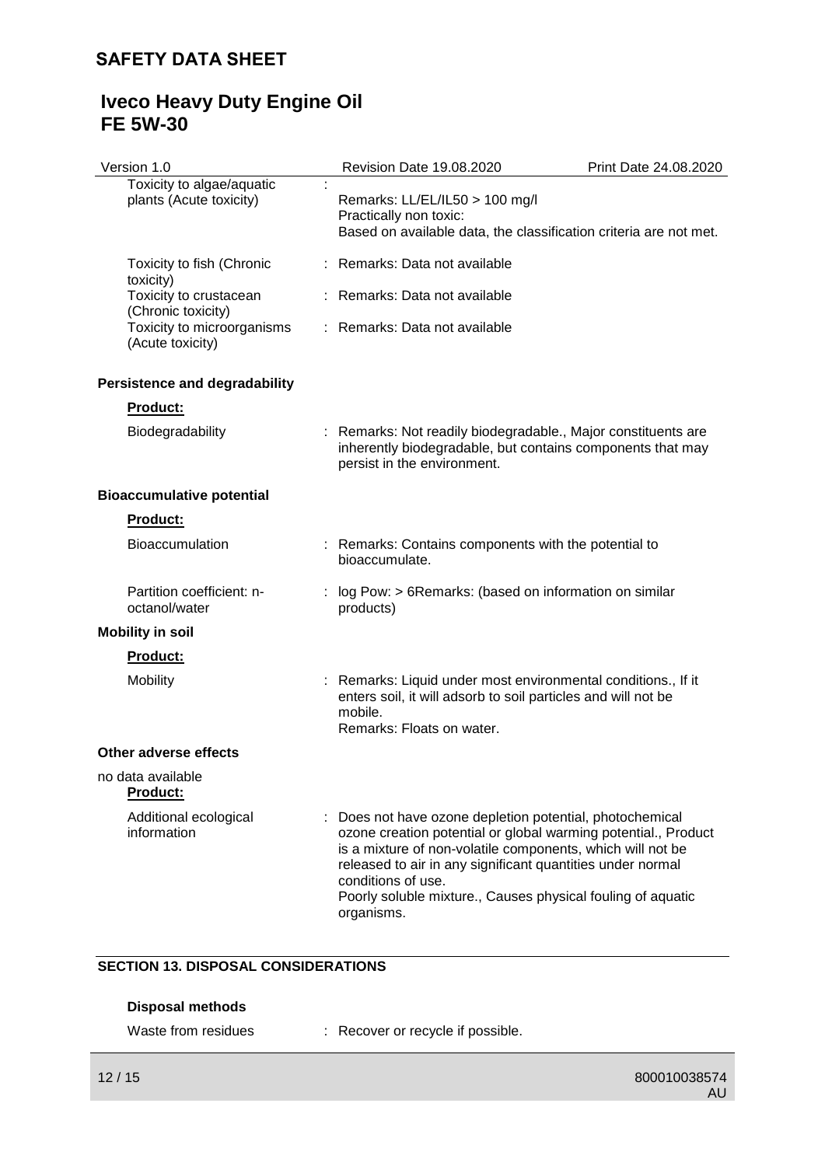# **Iveco Heavy Duty Engine Oil FE 5W-30**

| Version 1.0                                          | Revision Date 19.08.2020                                                                                                                                                                                                                                                                                                                                | Print Date 24.08.2020 |
|------------------------------------------------------|---------------------------------------------------------------------------------------------------------------------------------------------------------------------------------------------------------------------------------------------------------------------------------------------------------------------------------------------------------|-----------------------|
| Toxicity to algae/aquatic<br>plants (Acute toxicity) | Remarks: LL/EL/IL50 > 100 mg/l<br>Practically non toxic:<br>Based on available data, the classification criteria are not met.                                                                                                                                                                                                                           |                       |
| Toxicity to fish (Chronic<br>toxicity)               | Remarks: Data not available                                                                                                                                                                                                                                                                                                                             |                       |
| Toxicity to crustacean<br>(Chronic toxicity)         | : Remarks: Data not available                                                                                                                                                                                                                                                                                                                           |                       |
| Toxicity to microorganisms<br>(Acute toxicity)       | : Remarks: Data not available                                                                                                                                                                                                                                                                                                                           |                       |
| <b>Persistence and degradability</b>                 |                                                                                                                                                                                                                                                                                                                                                         |                       |
| Product:                                             |                                                                                                                                                                                                                                                                                                                                                         |                       |
| Biodegradability                                     | : Remarks: Not readily biodegradable., Major constituents are<br>inherently biodegradable, but contains components that may<br>persist in the environment.                                                                                                                                                                                              |                       |
| <b>Bioaccumulative potential</b>                     |                                                                                                                                                                                                                                                                                                                                                         |                       |
| Product:                                             |                                                                                                                                                                                                                                                                                                                                                         |                       |
| <b>Bioaccumulation</b>                               | : Remarks: Contains components with the potential to<br>bioaccumulate.                                                                                                                                                                                                                                                                                  |                       |
| Partition coefficient: n-<br>octanol/water           | log Pow: > 6Remarks: (based on information on similar<br>products)                                                                                                                                                                                                                                                                                      |                       |
| <b>Mobility in soil</b>                              |                                                                                                                                                                                                                                                                                                                                                         |                       |
| Product:                                             |                                                                                                                                                                                                                                                                                                                                                         |                       |
| Mobility                                             | : Remarks: Liquid under most environmental conditions., If it<br>enters soil, it will adsorb to soil particles and will not be<br>mobile.<br>Remarks: Floats on water.                                                                                                                                                                                  |                       |
| <b>Other adverse effects</b>                         |                                                                                                                                                                                                                                                                                                                                                         |                       |
| no data available<br><b>Product:</b>                 |                                                                                                                                                                                                                                                                                                                                                         |                       |
| Additional ecological<br>information                 | Does not have ozone depletion potential, photochemical<br>ozone creation potential or global warming potential., Product<br>is a mixture of non-volatile components, which will not be<br>released to air in any significant quantities under normal<br>conditions of use.<br>Poorly soluble mixture., Causes physical fouling of aquatic<br>organisms. |                       |

# **SECTION 13. DISPOSAL CONSIDERATIONS**

# **Disposal methods**

| Waste from residues |  | Recover or recycle if possible. |
|---------------------|--|---------------------------------|
|---------------------|--|---------------------------------|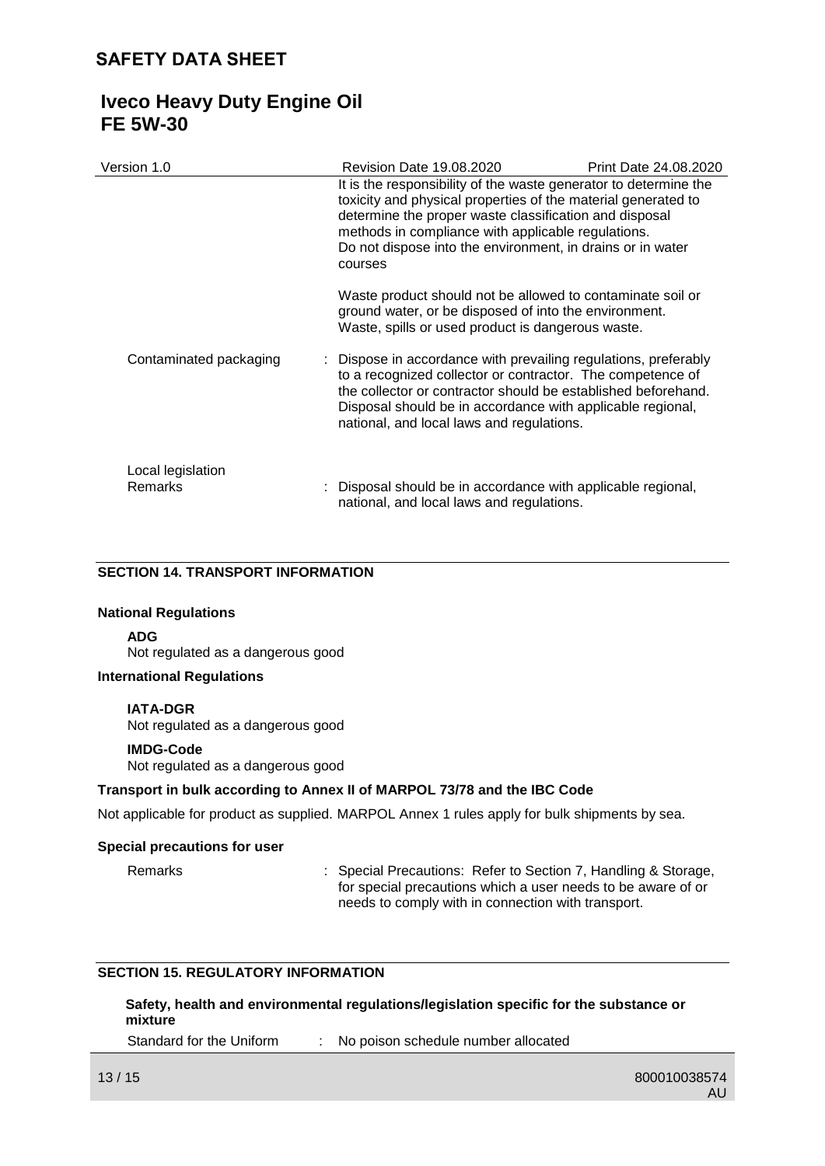# **Iveco Heavy Duty Engine Oil FE 5W-30**

| Version 1.0                  | Revision Date 19.08.2020                                                                                                                                                                                                                                                                                                   | Print Date 24.08.2020 |
|------------------------------|----------------------------------------------------------------------------------------------------------------------------------------------------------------------------------------------------------------------------------------------------------------------------------------------------------------------------|-----------------------|
|                              | It is the responsibility of the waste generator to determine the<br>toxicity and physical properties of the material generated to<br>determine the proper waste classification and disposal<br>methods in compliance with applicable regulations.<br>Do not dispose into the environment, in drains or in water<br>courses |                       |
|                              | Waste product should not be allowed to contaminate soil or<br>ground water, or be disposed of into the environment.<br>Waste, spills or used product is dangerous waste.                                                                                                                                                   |                       |
| Contaminated packaging       | : Dispose in accordance with prevailing regulations, preferably<br>to a recognized collector or contractor. The competence of<br>the collector or contractor should be established beforehand.<br>Disposal should be in accordance with applicable regional,<br>national, and local laws and regulations.                  |                       |
| Local legislation<br>Remarks | : Disposal should be in accordance with applicable regional,<br>national, and local laws and regulations.                                                                                                                                                                                                                  |                       |

### **SECTION 14. TRANSPORT INFORMATION**

#### **National Regulations**

**ADG**

Not regulated as a dangerous good

# **International Regulations**

#### **IATA-DGR**

Not regulated as a dangerous good

#### **IMDG-Code**

Not regulated as a dangerous good

#### **Transport in bulk according to Annex II of MARPOL 73/78 and the IBC Code**

Not applicable for product as supplied. MARPOL Annex 1 rules apply for bulk shipments by sea.

#### **Special precautions for user**

Remarks : Special Precautions: Refer to Section 7, Handling & Storage, for special precautions which a user needs to be aware of or needs to comply with in connection with transport.

# **SECTION 15. REGULATORY INFORMATION**

**Safety, health and environmental regulations/legislation specific for the substance or mixture**

Standard for the Uniform : No poison schedule number allocated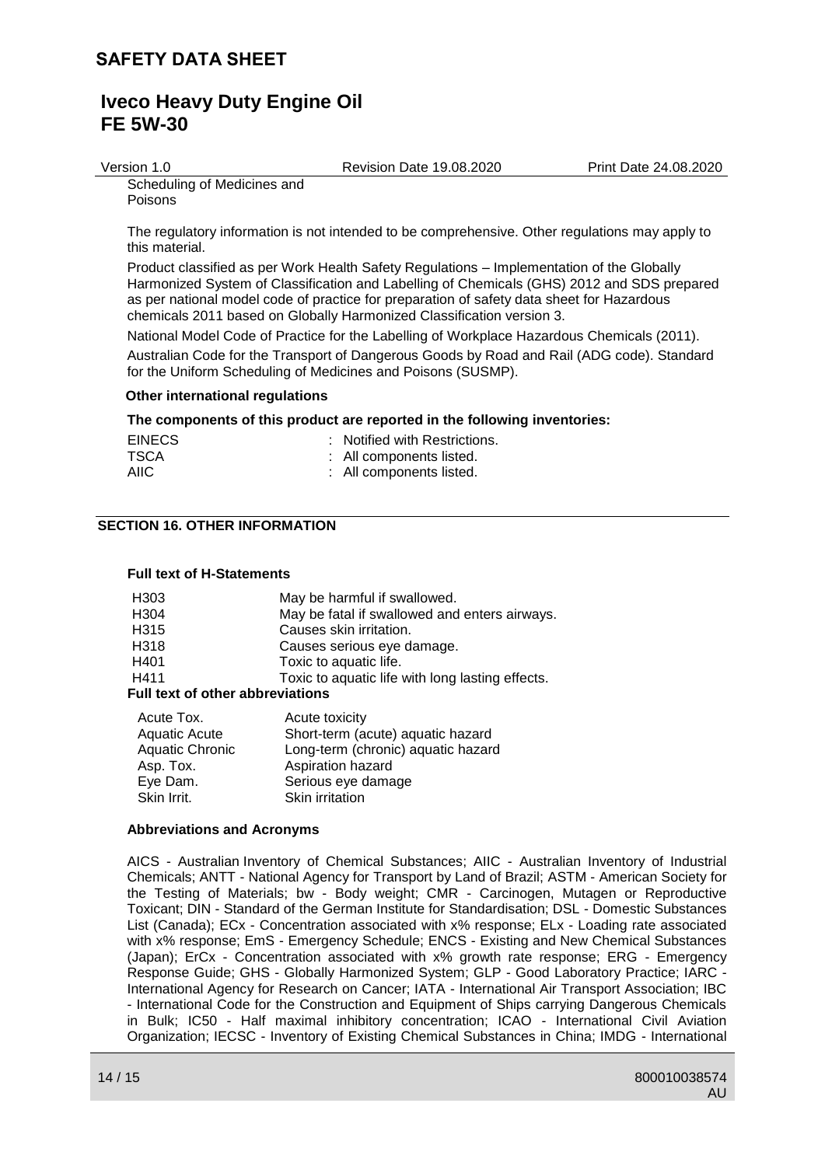# **Iveco Heavy Duty Engine Oil FE 5W-30**

Version 1.0 Revision Date 19.08.2020 Print Date 24.08.2020

Scheduling of Medicines and Poisons

The regulatory information is not intended to be comprehensive. Other regulations may apply to this material.

Product classified as per Work Health Safety Regulations – Implementation of the Globally Harmonized System of Classification and Labelling of Chemicals (GHS) 2012 and SDS prepared as per national model code of practice for preparation of safety data sheet for Hazardous chemicals 2011 based on Globally Harmonized Classification version 3.

National Model Code of Practice for the Labelling of Workplace Hazardous Chemicals (2011). Australian Code for the Transport of Dangerous Goods by Road and Rail (ADG code). Standard for the Uniform Scheduling of Medicines and Poisons (SUSMP).

### **Other international regulations**

### **The components of this product are reported in the following inventories:**

| <b>EINECS</b> | : Notified with Restrictions. |
|---------------|-------------------------------|
| <b>TSCA</b>   | : All components listed.      |
| AIIC.         | : All components listed.      |

# **SECTION 16. OTHER INFORMATION**

### **Full text of H-Statements**

| H <sub>303</sub>                        | May be harmful if swallowed.                     |  |  |
|-----------------------------------------|--------------------------------------------------|--|--|
| H <sub>304</sub>                        | May be fatal if swallowed and enters airways.    |  |  |
| H <sub>315</sub>                        | Causes skin irritation.                          |  |  |
| H318                                    | Causes serious eye damage.                       |  |  |
| H401                                    | Toxic to aquatic life.                           |  |  |
| H411                                    | Toxic to aquatic life with long lasting effects. |  |  |
| <b>Full text of other abbreviations</b> |                                                  |  |  |
| Acute Tox.                              | Acute toxicity                                   |  |  |
| <b>Aquatic Acute</b>                    | Short-term (acute) aquatic hazard                |  |  |
| <b>Aquatic Chronic</b>                  | Long-term (chronic) aquatic hazard               |  |  |

| Aquatic Chronic | Long-term (chronic) aquatic hazard |
|-----------------|------------------------------------|
| Asp. Tox.       | Aspiration hazard                  |
| Eye Dam.        | Serious eye damage                 |
| Skin Irrit.     | <b>Skin irritation</b>             |

#### **Abbreviations and Acronyms**

AICS - Australian Inventory of Chemical Substances; AIIC - Australian Inventory of Industrial Chemicals; ANTT - National Agency for Transport by Land of Brazil; ASTM - American Society for the Testing of Materials; bw - Body weight; CMR - Carcinogen, Mutagen or Reproductive Toxicant; DIN - Standard of the German Institute for Standardisation; DSL - Domestic Substances List (Canada); ECx - Concentration associated with x% response; ELx - Loading rate associated with x% response; EmS - Emergency Schedule; ENCS - Existing and New Chemical Substances (Japan); ErCx - Concentration associated with x% growth rate response; ERG - Emergency Response Guide; GHS - Globally Harmonized System; GLP - Good Laboratory Practice; IARC - International Agency for Research on Cancer; IATA - International Air Transport Association; IBC - International Code for the Construction and Equipment of Ships carrying Dangerous Chemicals in Bulk; IC50 - Half maximal inhibitory concentration; ICAO - International Civil Aviation Organization; IECSC - Inventory of Existing Chemical Substances in China; IMDG - International